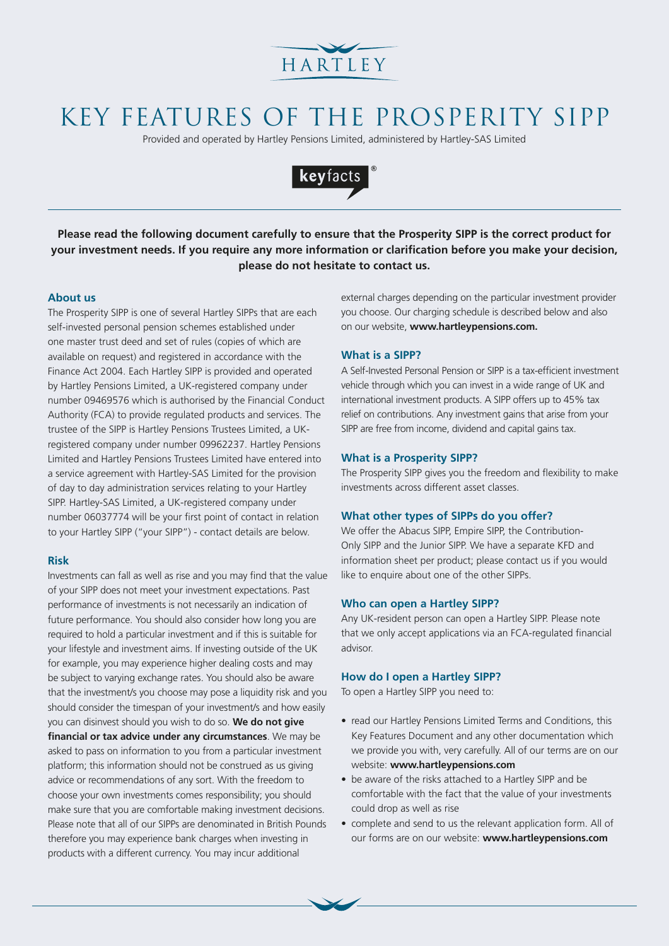

# KEY FEATURES OF THE PROSPERITY SIPP

Provided and operated by Hartley Pensions Limited, administered by Hartley-SAS Limited



**Please read the following document carefully to ensure that the Prosperity SIPP is the correct product for your investment needs. If you require any more information or clarification before you make your decision, please do not hesitate to contact us.**

#### **About us**

The Prosperity SIPP is one of several Hartley SIPPs that are each self-invested personal pension schemes established under one master trust deed and set of rules (copies of which are available on request) and registered in accordance with the Finance Act 2004. Each Hartley SIPP is provided and operated by Hartley Pensions Limited, a UK-registered company under number 09469576 which is authorised by the Financial Conduct Authority (FCA) to provide regulated products and services. The trustee of the SIPP is Hartley Pensions Trustees Limited, a UKregistered company under number 09962237. Hartley Pensions Limited and Hartley Pensions Trustees Limited have entered into a service agreement with Hartley-SAS Limited for the provision of day to day administration services relating to your Hartley SIPP. Hartley-SAS Limited, a UK-registered company under number 06037774 will be your first point of contact in relation to your Hartley SIPP ("your SIPP") - contact details are below.

#### **Risk**

Investments can fall as well as rise and you may find that the value of your SIPP does not meet your investment expectations. Past performance of investments is not necessarily an indication of future performance. You should also consider how long you are required to hold a particular investment and if this is suitable for your lifestyle and investment aims. If investing outside of the UK for example, you may experience higher dealing costs and may be subject to varying exchange rates. You should also be aware that the investment/s you choose may pose a liquidity risk and you should consider the timespan of your investment/s and how easily you can disinvest should you wish to do so. **We do not give financial or tax advice under any circumstances**. We may be asked to pass on information to you from a particular investment platform; this information should not be construed as us giving advice or recommendations of any sort. With the freedom to choose your own investments comes responsibility; you should make sure that you are comfortable making investment decisions. Please note that all of our SIPPs are denominated in British Pounds therefore you may experience bank charges when investing in products with a different currency. You may incur additional

external charges depending on the particular investment provider you choose. Our charging schedule is described below and also on our website, **www.hartleypensions.com.** 

#### **What is a SIPP?**

A Self-Invested Personal Pension or SIPP is a tax-efficient investment vehicle through which you can invest in a wide range of UK and international investment products. A SIPP offers up to 45% tax relief on contributions. Any investment gains that arise from your SIPP are free from income, dividend and capital gains tax.

#### **What is a Prosperity SIPP?**

The Prosperity SIPP gives you the freedom and flexibility to make investments across different asset classes.

### **What other types of SIPPs do you offer?**

We offer the Abacus SIPP, Empire SIPP, the Contribution-Only SIPP and the Junior SIPP. We have a separate KFD and information sheet per product; please contact us if you would like to enquire about one of the other SIPPs.

#### **Who can open a Hartley SIPP?**

Any UK-resident person can open a Hartley SIPP. Please note that we only accept applications via an FCA-regulated financial advisor.

#### **How do I open a Hartley SIPP?**

To open a Hartley SIPP you need to:

- read our Hartley Pensions Limited Terms and Conditions, this Key Features Document and any other documentation which we provide you with, very carefully. All of our terms are on our website: **www.hartleypensions.com**
- be aware of the risks attached to a Hartley SIPP and be comfortable with the fact that the value of your investments could drop as well as rise
- complete and send to us the relevant application form. All of our forms are on our website: **www.hartleypensions.com**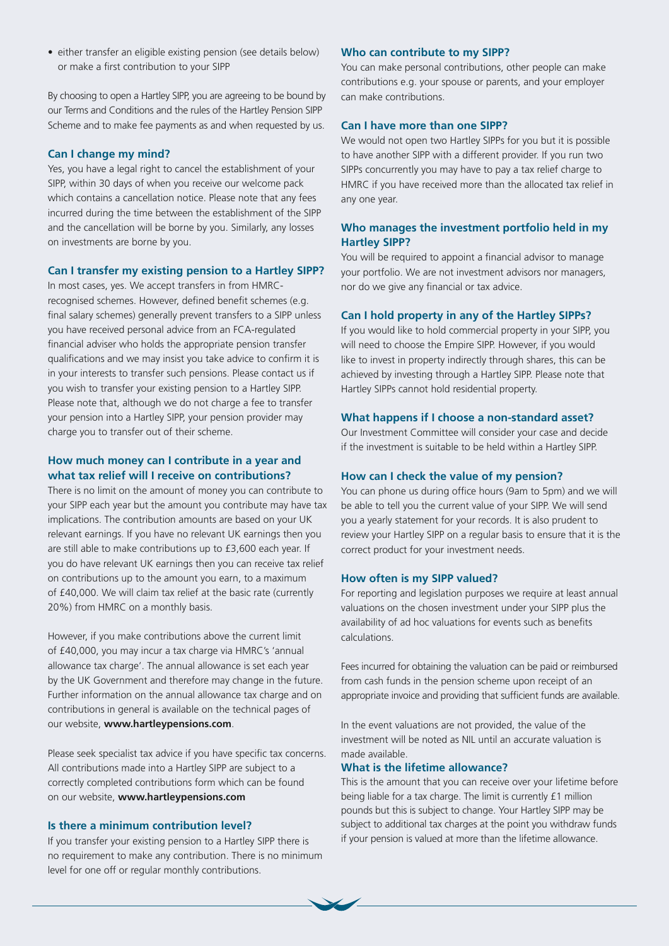• either transfer an eligible existing pension (see details below) or make a first contribution to your SIPP

By choosing to open a Hartley SIPP, you are agreeing to be bound by our Terms and Conditions and the rules of the Hartley Pension SIPP Scheme and to make fee payments as and when requested by us.

#### **Can I change my mind?**

Yes, you have a legal right to cancel the establishment of your SIPP, within 30 days of when you receive our welcome pack which contains a cancellation notice. Please note that any fees incurred during the time between the establishment of the SIPP and the cancellation will be borne by you. Similarly, any losses on investments are borne by you.

#### **Can I transfer my existing pension to a Hartley SIPP?**

In most cases, yes. We accept transfers in from HMRCrecognised schemes. However, defined benefit schemes (e.g. final salary schemes) generally prevent transfers to a SIPP unless you have received personal advice from an FCA-regulated financial adviser who holds the appropriate pension transfer qualifications and we may insist you take advice to confirm it is in your interests to transfer such pensions. Please contact us if you wish to transfer your existing pension to a Hartley SIPP. Please note that, although we do not charge a fee to transfer your pension into a Hartley SIPP, your pension provider may charge you to transfer out of their scheme.

## **How much money can I contribute in a year and what tax relief will I receive on contributions?**

There is no limit on the amount of money you can contribute to your SIPP each year but the amount you contribute may have tax implications. The contribution amounts are based on your UK relevant earnings. If you have no relevant UK earnings then you are still able to make contributions up to £3,600 each year. If you do have relevant UK earnings then you can receive tax relief on contributions up to the amount you earn, to a maximum of £40,000. We will claim tax relief at the basic rate (currently 20%) from HMRC on a monthly basis.

However, if you make contributions above the current limit of £40,000, you may incur a tax charge via HMRC's 'annual allowance tax charge'. The annual allowance is set each year by the UK Government and therefore may change in the future. Further information on the annual allowance tax charge and on contributions in general is available on the technical pages of our website, **www.hartleypensions.com**.

Please seek specialist tax advice if you have specific tax concerns. All contributions made into a Hartley SIPP are subject to a correctly completed contributions form which can be found on our website, **www.hartleypensions.com** 

#### **Is there a minimum contribution level?**

If you transfer your existing pension to a Hartley SIPP there is no requirement to make any contribution. There is no minimum level for one off or regular monthly contributions.

### **Who can contribute to my SIPP?**

You can make personal contributions, other people can make contributions e.g. your spouse or parents, and your employer can make contributions.

#### **Can I have more than one SIPP?**

We would not open two Hartley SIPPs for you but it is possible to have another SIPP with a different provider. If you run two SIPPs concurrently you may have to pay a tax relief charge to HMRC if you have received more than the allocated tax relief in any one year.

## **Who manages the investment portfolio held in my Hartley SIPP?**

You will be required to appoint a financial advisor to manage your portfolio. We are not investment advisors nor managers, nor do we give any financial or tax advice.

#### **Can I hold property in any of the Hartley SIPPs?**

If you would like to hold commercial property in your SIPP, you will need to choose the Empire SIPP. However, if you would like to invest in property indirectly through shares, this can be achieved by investing through a Hartley SIPP. Please note that Hartley SIPPs cannot hold residential property.

#### **What happens if I choose a non-standard asset?**

Our Investment Committee will consider your case and decide if the investment is suitable to be held within a Hartley SIPP.

#### **How can I check the value of my pension?**

You can phone us during office hours (9am to 5pm) and we will be able to tell you the current value of your SIPP. We will send you a yearly statement for your records. It is also prudent to review your Hartley SIPP on a regular basis to ensure that it is the correct product for your investment needs.

#### **How often is my SIPP valued?**

For reporting and legislation purposes we require at least annual valuations on the chosen investment under your SIPP plus the availability of ad hoc valuations for events such as benefits calculations.

Fees incurred for obtaining the valuation can be paid or reimbursed from cash funds in the pension scheme upon receipt of an appropriate invoice and providing that sufficient funds are available.

In the event valuations are not provided, the value of the investment will be noted as NIL until an accurate valuation is made available.

## **What is the lifetime allowance?**

This is the amount that you can receive over your lifetime before being liable for a tax charge. The limit is currently £1 million pounds but this is subject to change. Your Hartley SIPP may be subject to additional tax charges at the point you withdraw funds if your pension is valued at more than the lifetime allowance.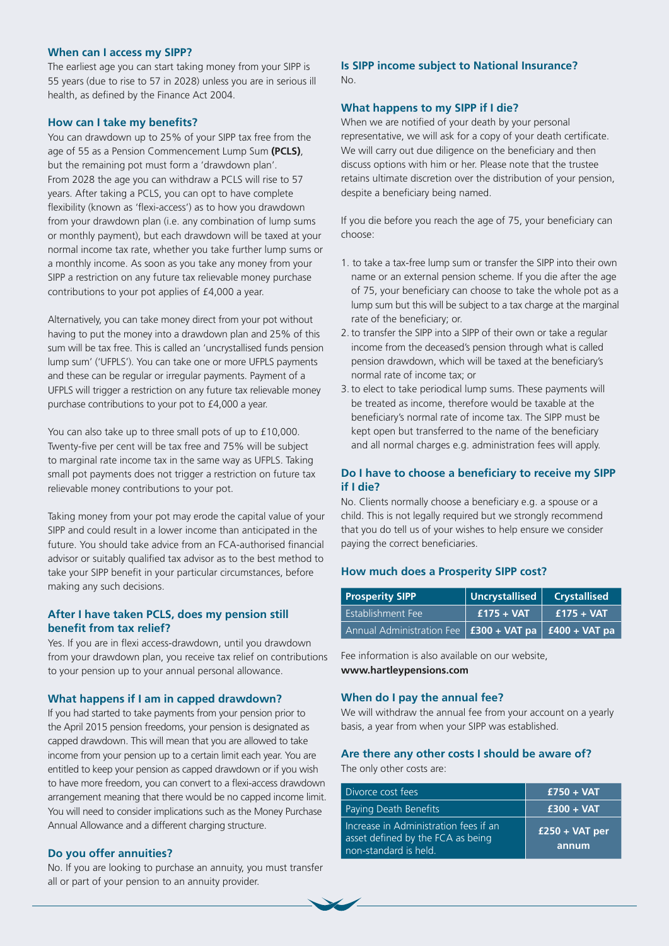## **When can I access my SIPP?**

The earliest age you can start taking money from your SIPP is 55 years (due to rise to 57 in 2028) unless you are in serious ill health, as defined by the Finance Act 2004.

#### **How can I take my benefits?**

You can drawdown up to 25% of your SIPP tax free from the age of 55 as a Pension Commencement Lump Sum **(PCLS)**, but the remaining pot must form a 'drawdown plan'. From 2028 the age you can withdraw a PCLS will rise to 57 years. After taking a PCLS, you can opt to have complete flexibility (known as 'flexi-access') as to how you drawdown from your drawdown plan (i.e. any combination of lump sums or monthly payment), but each drawdown will be taxed at your normal income tax rate, whether you take further lump sums or a monthly income. As soon as you take any money from your SIPP a restriction on any future tax relievable money purchase contributions to your pot applies of £4,000 a year.

Alternatively, you can take money direct from your pot without having to put the money into a drawdown plan and 25% of this sum will be tax free. This is called an 'uncrystallised funds pension lump sum' ('UFPLS'). You can take one or more UFPLS payments and these can be regular or irregular payments. Payment of a UFPLS will trigger a restriction on any future tax relievable money purchase contributions to your pot to £4,000 a year.

You can also take up to three small pots of up to £10,000. Twenty-five per cent will be tax free and 75% will be subject to marginal rate income tax in the same way as UFPLS. Taking small pot payments does not trigger a restriction on future tax relievable money contributions to your pot.

Taking money from your pot may erode the capital value of your SIPP and could result in a lower income than anticipated in the future. You should take advice from an FCA-authorised financial advisor or suitably qualified tax advisor as to the best method to take your SIPP benefit in your particular circumstances, before making any such decisions.

## **After I have taken PCLS, does my pension still benefit from tax relief?**

Yes. If you are in flexi access-drawdown, until you drawdown from your drawdown plan, you receive tax relief on contributions to your pension up to your annual personal allowance.

#### **What happens if I am in capped drawdown?**

If you had started to take payments from your pension prior to the April 2015 pension freedoms, your pension is designated as capped drawdown. This will mean that you are allowed to take income from your pension up to a certain limit each year. You are entitled to keep your pension as capped drawdown or if you wish to have more freedom, you can convert to a flexi-access drawdown arrangement meaning that there would be no capped income limit. You will need to consider implications such as the Money Purchase Annual Allowance and a different charging structure.

#### **Do you offer annuities?**

No. If you are looking to purchase an annuity, you must transfer all or part of your pension to an annuity provider.

## **Is SIPP income subject to National Insurance?** No.

#### **What happens to my SIPP if I die?**

When we are notified of your death by your personal representative, we will ask for a copy of your death certificate. We will carry out due diligence on the beneficiary and then discuss options with him or her. Please note that the trustee retains ultimate discretion over the distribution of your pension, despite a beneficiary being named.

If you die before you reach the age of 75, your beneficiary can choose:

- 1. to take a tax-free lump sum or transfer the SIPP into their own name or an external pension scheme. If you die after the age of 75, your beneficiary can choose to take the whole pot as a lump sum but this will be subject to a tax charge at the marginal rate of the beneficiary; or.
- 2. to transfer the SIPP into a SIPP of their own or take a regular income from the deceased's pension through what is called pension drawdown, which will be taxed at the beneficiary's normal rate of income tax; or
- 3. to elect to take periodical lump sums. These payments will be treated as income, therefore would be taxable at the beneficiary's normal rate of income tax. The SIPP must be kept open but transferred to the name of the beneficiary and all normal charges e.g. administration fees will apply.

## **Do I have to choose a beneficiary to receive my SIPP if I die?**

No. Clients normally choose a beneficiary e.g. a spouse or a child. This is not legally required but we strongly recommend that you do tell us of your wishes to help ensure we consider paying the correct beneficiaries.

#### **How much does a Prosperity SIPP cost?**

| <b>Prosperity SIPP</b>                                                  | Uncrystallised | <b>Crystallised</b> |
|-------------------------------------------------------------------------|----------------|---------------------|
| Establishment Fee                                                       | $f175 + VAT$   | $f175 + VAT$        |
| Annual Administration Fee   <b>£300 + VAT pa</b>   <b>£400 + VAT pa</b> |                |                     |

Fee information is also available on our website, **www.hartleypensions.com** 

### **When do I pay the annual fee?**

We will withdraw the annual fee from your account on a yearly basis, a year from when your SIPP was established.

#### **Are there any other costs I should be aware of?**  The only other costs are:

| Divorce cost fees                                                                                   | $£750 + VAT$              |
|-----------------------------------------------------------------------------------------------------|---------------------------|
| Paying Death Benefits                                                                               | $£300 + VAT$              |
| Increase in Administration fees if an<br>asset defined by the FCA as being<br>non-standard is held. | $£250 + VAT$ per<br>annum |